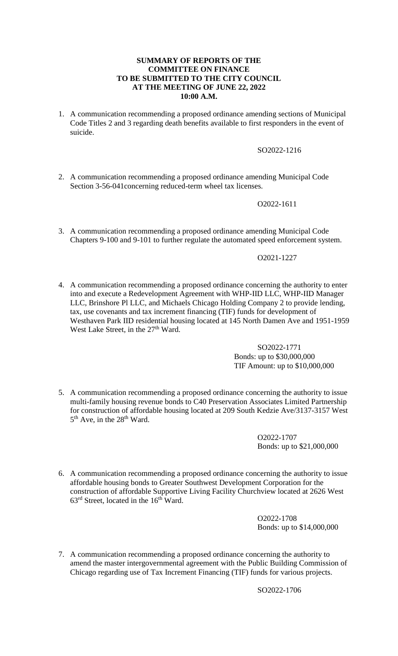### **SUMMARY OF REPORTS OF THE COMMITTEE ON FINANCE TO BE SUBMITTED TO THE CITY COUNCIL AT THE MEETING OF JUNE 22, 2022 10:00 A.M.**

1. A communication recommending a proposed ordinance amending sections of Municipal Code Titles 2 and 3 regarding death benefits available to first responders in the event of suicide.

## SO2022-1216

2. A communication recommending a proposed ordinance amending Municipal Code Section 3-56-041concerning reduced-term wheel tax licenses.

# O2022-1611

3. A communication recommending a proposed ordinance amending Municipal Code Chapters 9-100 and 9-101 to further regulate the automated speed enforcement system.

#### O2021-1227

4. A communication recommending a proposed ordinance concerning the authority to enter into and execute a Redevelopment Agreement with WHP-IID LLC, WHP-IID Manager LLC, Brinshore Pl LLC, and Michaels Chicago Holding Company 2 to provide lending, tax, use covenants and tax increment financing (TIF) funds for development of Westhaven Park IID residential housing located at 145 North Damen Ave and 1951-1959 West Lake Street, in the 27<sup>th</sup> Ward.

### SO2022-1771 Bonds: up to \$30,000,000 TIF Amount: up to \$10,000,000

5. A communication recommending a proposed ordinance concerning the authority to issue multi-family housing revenue bonds to C40 Preservation Associates Limited Partnership for construction of affordable housing located at 209 South Kedzie Ave/3137-3157 West 5<sup>th</sup> Ave, in the 28<sup>th</sup> Ward.

> O2022-1707 Bonds: up to \$21,000,000

6. A communication recommending a proposed ordinance concerning the authority to issue affordable housing bonds to Greater Southwest Development Corporation for the construction of affordable Supportive Living Facility Churchview located at 2626 West  $63<sup>rd</sup>$  Street, located in the  $16<sup>th</sup>$  Ward.

> O2022-1708 Bonds: up to \$14,000,000

7. A communication recommending a proposed ordinance concerning the authority to amend the master intergovernmental agreement with the Public Building Commission of Chicago regarding use of Tax Increment Financing (TIF) funds for various projects.

SO2022-1706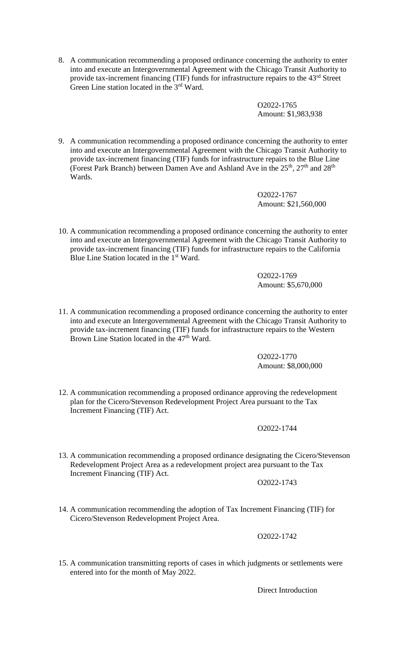8. A communication recommending a proposed ordinance concerning the authority to enter into and execute an Intergovernmental Agreement with the Chicago Transit Authority to provide tax-increment financing (TIF) funds for infrastructure repairs to the 43<sup>rd</sup> Street Green Line station located in the 3<sup>rd</sup> Ward.

> O2022-1765 Amount: \$1,983,938

9. A communication recommending a proposed ordinance concerning the authority to enter into and execute an Intergovernmental Agreement with the Chicago Transit Authority to provide tax-increment financing (TIF) funds for infrastructure repairs to the Blue Line (Forest Park Branch) between Damen Ave and Ashland Ave in the  $25<sup>th</sup>$ ,  $27<sup>th</sup>$  and  $28<sup>th</sup>$ Wards.

> O2022-1767 Amount: \$21,560,000

10. A communication recommending a proposed ordinance concerning the authority to enter into and execute an Intergovernmental Agreement with the Chicago Transit Authority to provide tax-increment financing (TIF) funds for infrastructure repairs to the California Blue Line Station located in the 1<sup>st</sup> Ward.

> O2022-1769 Amount: \$5,670,000

11. A communication recommending a proposed ordinance concerning the authority to enter into and execute an Intergovernmental Agreement with the Chicago Transit Authority to provide tax-increment financing (TIF) funds for infrastructure repairs to the Western Brown Line Station located in the 47<sup>th</sup> Ward.

> O2022-1770 Amount: \$8,000,000

12. A communication recommending a proposed ordinance approving the redevelopment plan for the Cicero/Stevenson Redevelopment Project Area pursuant to the Tax Increment Financing (TIF) Act.

O2022-1744

13. A communication recommending a proposed ordinance designating the Cicero/Stevenson Redevelopment Project Area as a redevelopment project area pursuant to the Tax Increment Financing (TIF) Act.

O2022-1743

14. A communication recommending the adoption of Tax Increment Financing (TIF) for Cicero/Stevenson Redevelopment Project Area.

O2022-1742

15. A communication transmitting reports of cases in which judgments or settlements were entered into for the month of May 2022.

Direct Introduction